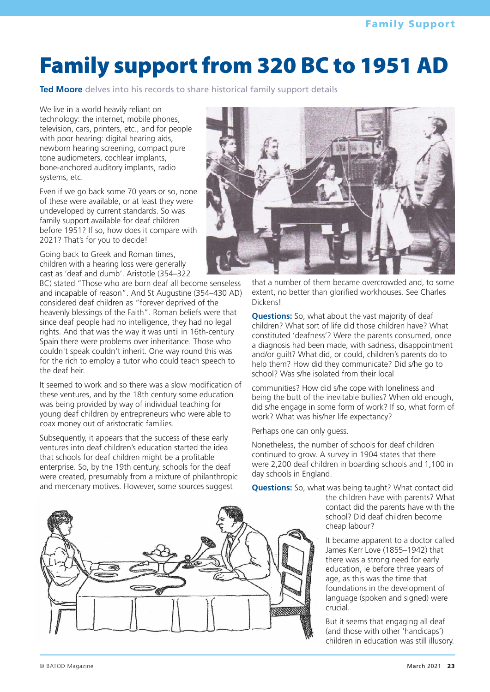# Family support from 320 BC to 1951 AD

**Ted Moore** delves into his records to share historical family support details

We live in a world heavily reliant on technology: the internet, mobile phones, television, cars, printers, etc., and for people with poor hearing: digital hearing aids, newborn hearing screening, compact pure tone audiometers, cochlear implants, bone-anchored auditory implants, radio systems, etc.

Even if we go back some 70 years or so, none of these were available, or at least they were undeveloped by current standards. So was family support available for deaf children before 1951? If so, how does it compare with 2021? That's for you to decide!

Going back to Greek and Roman times, children with a hearing loss were generally cast as 'deaf and dumb'. Aristotle (354–322

BC) stated "Those who are born deaf all become senseless and incapable of reason". And St Augustine (354–430 AD) considered deaf children as "forever deprived of the heavenly blessings of the Faith". Roman beliefs were that since deaf people had no intelligence, they had no legal rights. And that was the way it was until in 16th-century Spain there were problems over inheritance. Those who couldn't speak couldn't inherit. One way round this was for the rich to employ a tutor who could teach speech to the deaf heir.

It seemed to work and so there was a slow modification of these ventures, and by the 18th century some education was being provided by way of individual teaching for young deaf children by entrepreneurs who were able to coax money out of aristocratic families.

Subsequently, it appears that the success of these early ventures into deaf children's education started the idea that schools for deaf children might be a profitable enterprise. So, by the 19th century, schools for the deaf were created, presumably from a mixture of philanthropic and mercenary motives. However, some sources suggest



that a number of them became overcrowded and, to some extent, no better than glorified workhouses. See Charles Dickens!

**Questions:** So, what about the vast majority of deaf children? What sort of life did those children have? What constituted 'deafness'? Were the parents consumed, once a diagnosis had been made, with sadness, disappointment and/or guilt? What did, or could, children's parents do to help them? How did they communicate? Did s/he go to school? Was s/he isolated from their local

communities? How did s/he cope with loneliness and being the butt of the inevitable bullies? When old enough, did s/he engage in some form of work? If so, what form of work? What was his/her life expectancy?

Perhaps one can only guess.

Nonetheless, the number of schools for deaf children continued to grow. A survey in 1904 states that there were 2,200 deaf children in boarding schools and 1,100 in day schools in England.

**Questions:** So, what was being taught? What contact did

the children have with parents? What contact did the parents have with the school? Did deaf children become cheap labour?

It became apparent to a doctor called James Kerr Love (1855–1942) that there was a strong need for early education, ie before three years of age, as this was the time that foundations in the development of language (spoken and signed) were crucial.

But it seems that engaging all deaf (and those with other 'handicaps') children in education was still illusory.

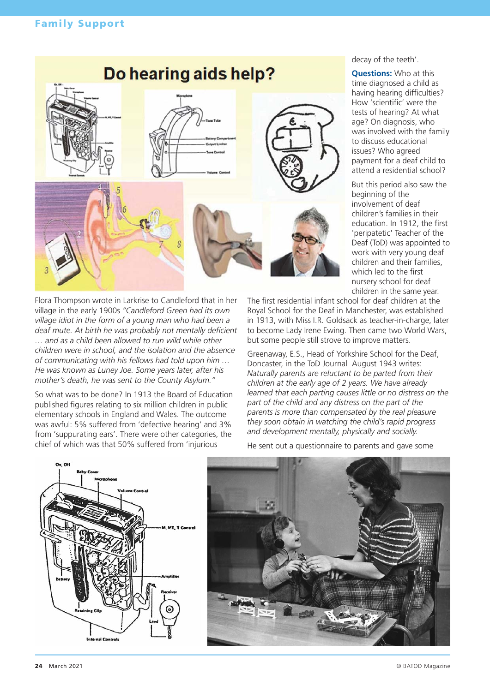### Family Support



Flora Thompson wrote in Larkrise to Candleford that in her village in the early 1900s *"Candleford Green had its own village idiot in the form of a young man who had been a deaf mute. At birth he was probably not mentally deficient … and as a child been allowed to run wild while other children were in school, and the isolation and the absence of communicating with his fellows had told upon him … He was known as Luney Joe. Some years later, after his mother's death, he was sent to the County Asylum."*

So what was to be done? In 1913 the Board of Education published figures relating to six million children in public elementary schools in England and Wales. The outcome was awful: 5% suffered from 'defective hearing' and 3% from 'suppurating ears'. There were other categories, the chief of which was that 50% suffered from 'injurious

decay of the teeth'.

**Questions:** Who at this time diagnosed a child as having hearing difficulties? How 'scientific' were the tests of hearing? At what age? On diagnosis, who was involved with the family to discuss educational issues? Who agreed payment for a deaf child to attend a residential school?

But this period also saw the beginning of the involvement of deaf children's families in their education. In 1912, the first 'peripatetic' Teacher of the Deaf (ToD) was appointed to work with very young deaf children and their families, which led to the first nursery school for deaf children in the same year.

The first residential infant school for deaf children at the Royal School for the Deaf in Manchester, was established in 1913, with Miss I.R. Goldsack as teacher-in-charge, later to become Lady Irene Ewing. Then came two World Wars, but some people still strove to improve matters.

Greenaway, E.S., Head of Yorkshire School for the Deaf, Doncaster, in the ToD Journal August 1943 writes: *Naturally parents are reluctant to be parted from their children at the early age of 2 years. We have already learned that each parting causes little or no distress on the part of the child and any distress on the part of the parents is more than compensated by the real pleasure they soon obtain in watching the child's rapid progress and development mentally, physically and socially.*

He sent out a questionnaire to parents and gave some



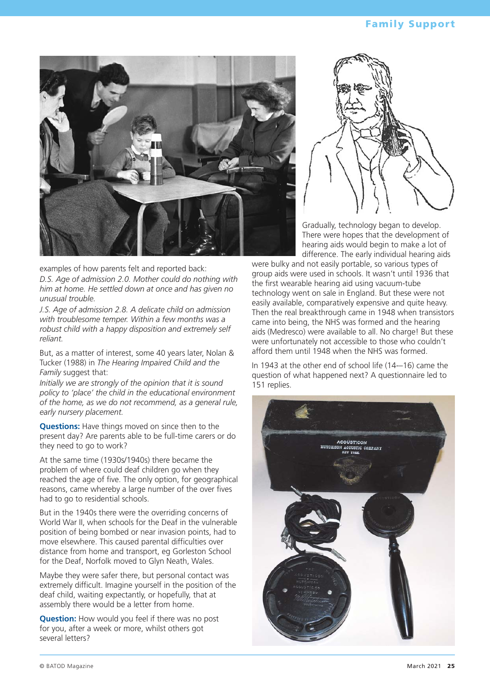

examples of how parents felt and reported back:

*D.S. Age of admission 2.0. Mother could do nothing with him at home. He settled down at once and has given no unusual trouble.*

*J.S. Age of admission 2.8. A delicate child on admission with troublesome temper. Within a few months was a robust child with a happy disposition and extremely self reliant.*

But, as a matter of interest, some 40 years later, Nolan & Tucker (1988) in *The Hearing Impaired Child and the Family* suggest that:

*Initially we are strongly of the opinion that it is sound policy to 'place' the child in the educational environment of the home, as we do not recommend, as a general rule, early nursery placement.* 

**Questions:** Have things moved on since then to the present day? Are parents able to be full-time carers or do they need to go to work?

At the same time (1930s/1940s) there became the problem of where could deaf children go when they reached the age of five. The only option, for geographical reasons, came whereby a large number of the over fives had to go to residential schools.

But in the 1940s there were the overriding concerns of World War II, when schools for the Deaf in the vulnerable position of being bombed or near invasion points, had to move elsewhere. This caused parental difficulties over distance from home and transport, eg Gorleston School for the Deaf, Norfolk moved to Glyn Neath, Wales.

Maybe they were safer there, but personal contact was extremely difficult. Imagine yourself in the position of the deaf child, waiting expectantly, or hopefully, that at assembly there would be a letter from home.

**Question:** How would you feel if there was no post for you, after a week or more, whilst others got several letters?



Gradually, technology began to develop. There were hopes that the development of hearing aids would begin to make a lot of difference. The early individual hearing aids

were bulky and not easily portable, so various types of group aids were used in schools. It wasn't until 1936 that the first wearable hearing aid using vacuum-tube technology went on sale in England. But these were not easily available, comparatively expensive and quite heavy. Then the real breakthrough came in 1948 when transistors came into being, the NHS was formed and the hearing aids (Medresco) were available to all. No charge! But these were unfortunately not accessible to those who couldn't afford them until 1948 when the NHS was formed.

In 1943 at the other end of school life (14-–16) came the question of what happened next? A questionnaire led to 151 replies.

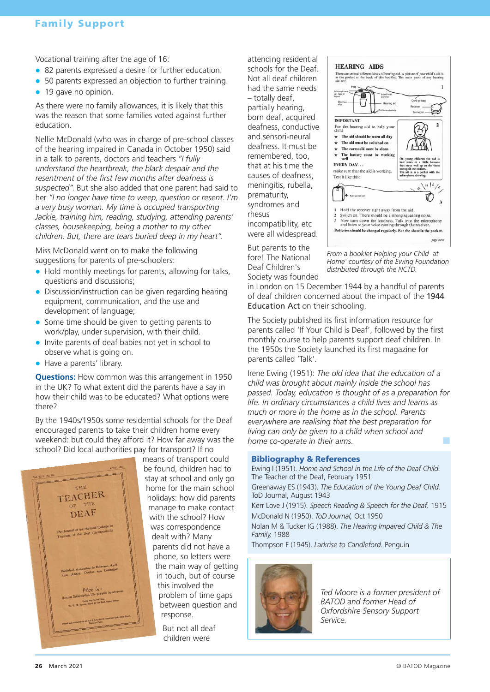Vocational training after the age of 16:

- 82 parents expressed a desire for further education.
- $\bullet$ 50 parents expressed an objection to further training.
- $\bullet$ 19 gave no opinion.

As there were no family allowances, it is likely that this was the reason that some families voted against further education.

Nellie McDonald (who was in charge of pre-school classes of the hearing impaired in Canada in October 1950) said in a talk to parents, doctors and teachers *"I fully understand the heartbreak, the black despair and the resentment of the first few months after deafness is suspected"*. But she also added that one parent had said to her *"I no longer have time to weep, question or resent. I'm a very busy woman. My time is occupied transporting Jackie, training him, reading, studying, attending parents' classes, housekeeping, being a mother to my other children. But, there are tears buried deep in my heart".*

Miss McDonald went on to make the following suggestions for parents of pre-schoolers:

- Hold monthly meetings for parents, allowing for talks, questions and discussions;
- Discussion/instruction can be given regarding hearing equipment, communication, and the use and development of language;
- $\bullet$  Some time should be given to getting parents to work/play, under supervision, with their child.
- $\bullet$  Invite parents of deaf babies not yet in school to observe what is going on.
- Have a parents' library.

**Questions:** How common was this arrangement in 1950 in the UK? To what extent did the parents have a say in how their child was to be educated? What options were there?

By the 1940s/1950s some residential schools for the Deaf encouraged parents to take their children home every weekend: but could they afford it? How far away was the school? Did local authorities pay for transport? If no



means of transport could be found, children had to stay at school and only go home for the main school holidays: how did parents manage to make contact with the school? How was correspondence dealt with? Many parents did not have a phone, so letters were the main way of getting in touch, but of course this involved the problem of time gaps between question and response.

But not all deaf children were

attending residential schools for the Deaf. Not all deaf children had the same needs – totally deaf, partially hearing, born deaf, acquired deafness, conductive and sensori-neural deafness. It must be remembered, too, that at his time the causes of deafness, meningitis, rubella, prematurity, syndromes and rhesus incompatibility, etc were all widespread.



But parents to the fore! The National Deaf Children's Society was founded

*From a booklet Helping your Child at Home' courtesy of the Ewing Foundation distributed through the NCTD.*

in London on 15 December 1944 by a handful of parents of deaf children concerned about the impact of the 1944 Education Act on their schooling.

The Society published its first information resource for parents called 'If Your Child is Deaf', followed by the first monthly course to help parents support deaf children. In the 1950s the Society launched its first magazine for parents called 'Talk'.

Irene Ewing (1951): *The old idea that the education of a child was brought about mainly inside the school has passed. Today, education is thought of as a preparation for life. In ordinary circumstances a child lives and learns as much or more in the home as in the school. Parents everywhere are realising that the best preparation for living can only be given to a child when school and home co-operate in their aims.* 

#### Bibliography & References

Ewing I (1951). *Home and School in the Life of the Deaf Child.* The Teacher of the Deaf, February 1951 Greenaway ES (1943). *The Education of the Young Deaf Child.* ToD Journal, August 1943 Kerr Love J (1915). *Speech Reading & Speech for the Deaf.* 1915 McDonald N (1950). *ToD Journal,* Oct 1950 Nolan M & Tucker IG (1988). *The Hearing Impaired Child & The Family,* 1988

Thompson F (1945). *Larkrise to Candleford*. Penguin



*Ted Moore is a former president of BATOD and former Head of Oxfordshire Sensory Support Service.*